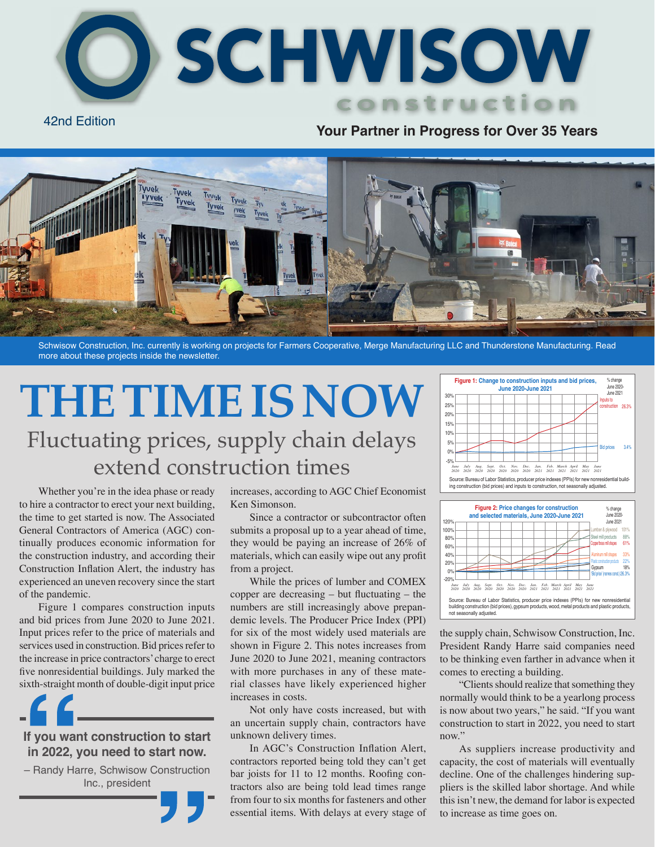

### 42nd Edition **Your Partner in Progress for Over 35 Years**



Schwisow Construction, Inc. currently is working on projects for Farmers Cooperative, Merge Manufacturing LLC and Thunderstone Manufacturing. Read more about these projects inside the newsletter.

# Fluctuating prices, supply chain delays extend construction times THE TIME IS NOW

Whether you're in the idea phase or ready to hire a contractor to erect your next building, the time to get started is now. The Associated General Contractors of America (AGC) continually produces economic information for the construction industry, and according their Construction Inflation Alert, the industry has experienced an uneven recovery since the start of the pandemic.

Figure 1 compares construction inputs and bid prices from June 2020 to June 2021. Input prices refer to the price of materials and services used in construction. Bid prices refer to the increase in price contractors' charge to erect five nonresidential buildings. July marked the sixth-straight month of double-digit input price

**If you want construction to start in 2022, you need to start now.**

– Randy Harre, Schwisow Construction Inc., president

increases, according to AGC Chief Economist Ken Simonson.

Since a contractor or subcontractor often submits a proposal up to a year ahead of time, they would be paying an increase of 26% of materials, which can easily wipe out any profit from a project.

While the prices of lumber and COMEX copper are decreasing – but fluctuating – the numbers are still increasingly above prepandemic levels. The Producer Price Index (PPI) for six of the most widely used materials are shown in Figure 2. This notes increases from June 2020 to June 2021, meaning contractors with more purchases in any of these material classes have likely experienced higher increases in costs.

Not only have costs increased, but with an uncertain supply chain, contractors have unknown delivery times.

In AGC's Construction Inflation Alert, contractors reported being told they can't get bar joists for 11 to 12 months. Roofing contractors also are being told lead times range from four to six months for fasteners and other essential items. With delays at every stage of





the supply chain, Schwisow Construction, Inc. President Randy Harre said companies need to be thinking even farther in advance when it comes to erecting a building.

"Clients should realize that something they normally would think to be a yearlong process is now about two years," he said. "If you want construction to start in 2022, you need to start now."

As suppliers increase productivity and capacity, the cost of materials will eventually decline. One of the challenges hindering suppliers is the skilled labor shortage. And while this isn't new, the demand for labor is expected to increase as time goes on.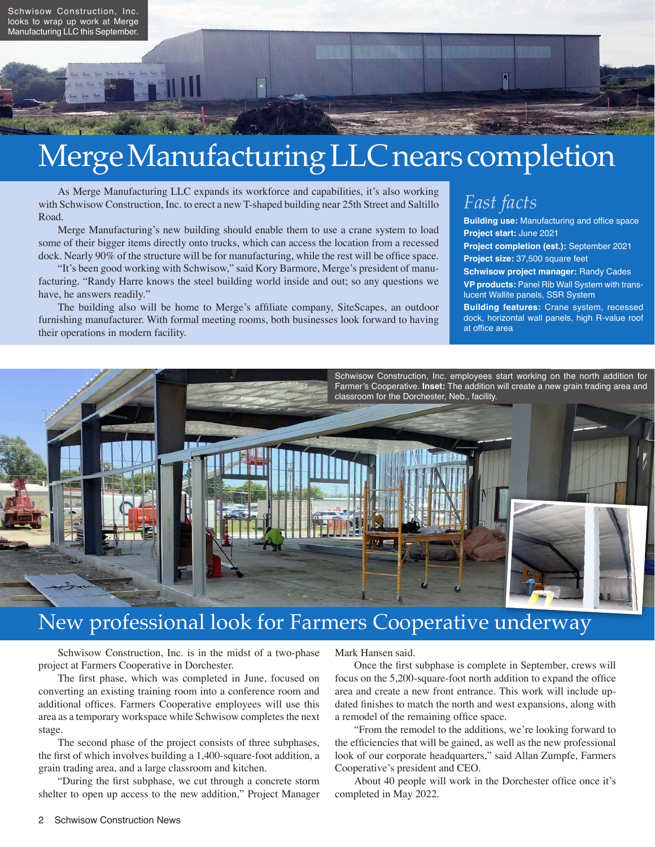

# Merge Manufacturing LLC nears completion

As Merge Manufacturing LLC expands its workforce and capabilities, it's also working with Schwisow Construction, Inc. to erect a new T-shaped building near 25th Street and Saltillo Road.

Merge Manufacturing's new building should enable them to use a crane system to load some of their bigger items directly onto trucks, which can access the location from a recessed dock. Nearly 90% of the structure will be for manufacturing, while the rest will be office space.

"It's been good working with Schwisow," said Kory Barmore, Merge's president of manufacturing. "Randy Harre knows the steel building world inside and out; so any questions we have, he answers readily."

The building also will be home to Merge's affiliate company, SiteScapes, an outdoor furnishing manufacturer. With formal meeting rooms, both businesses look forward to having their operations in modern facility.

### *Fast facts*

**Building use:** Manufacturing and office space **Project start:** June 2021 **Project completion (est.):** September 2021

**Project size:** 37,500 square feet

**Schwisow project manager:** Randy Cades **VP products:** Panel Rib Wall System with translucent Wallite panels, SSR System

**Building features:** Crane system, recessed dock, horizontal wall panels, high R-value roof at office area



### New professional look for Farmers Cooperative underway

Schwisow Construction, Inc. is in the midst of a two-phase project at Farmers Cooperative in Dorchester.

The first phase, which was completed in June, focused on converting an existing training room into a conference room and additional offices. Farmers Cooperative employees will use this area as a temporary workspace while Schwisow completes the next stage.

The second phase of the project consists of three subphases, the first of which involves building a 1,400-square-foot addition, a grain trading area, and a large classroom and kitchen.

"During the first subphase, we cut through a concrete storm shelter to open up access to the new addition," Project Manager Mark Hansen said.

Once the first subphase is complete in September, crews will focus on the 5,200-square-foot north addition to expand the office area and create a new front entrance. This work will include updated finishes to match the north and west expansions, along with a remodel of the remaining office space.

"From the remodel to the additions, we're looking forward to the efficiencies that will be gained, as well as the new professional look of our corporate headquarters," said Allan Zumpfe, Farmers Cooperative's president and CEO.

About 40 people will work in the Dorchester office once it's completed in May 2022.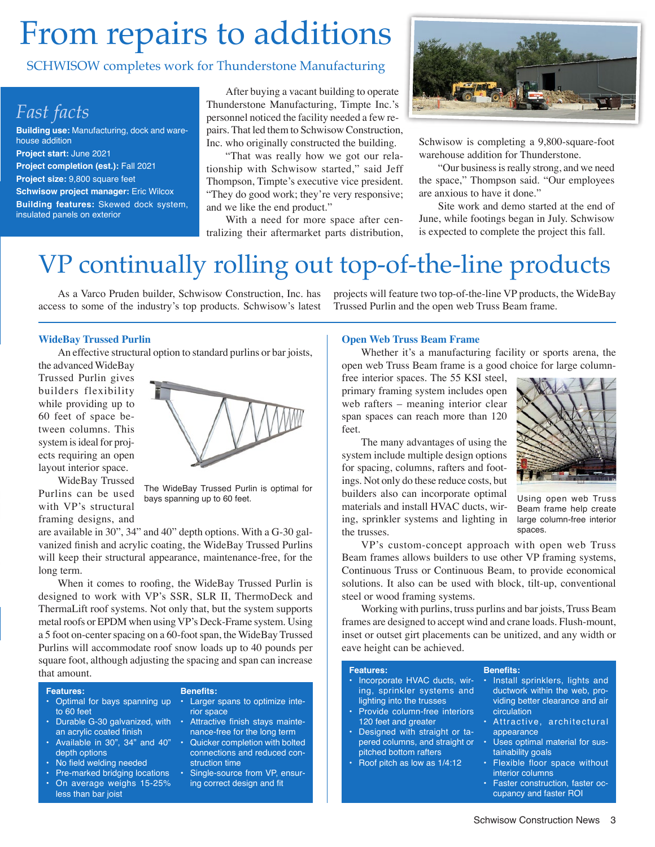# From repairs to additions

#### SCHWISOW completes work for Thunderstone Manufacturing

### *Fast facts*

**Building use:** Manufacturing, dock and warehouse addition **Project start:** June 2021 **Project completion (est.):** Fall 2021 **Project size:** 9,800 square feet **Schwisow project manager:** Eric Wilcox **Building features:** Skewed dock system, insulated panels on exterior

After buying a vacant building to operate Thunderstone Manufacturing, Timpte Inc.'s personnel noticed the facility needed a few repairs. That led them to Schwisow Construction, Inc. who originally constructed the building.

"That was really how we got our relationship with Schwisow started," said Jeff Thompson, Timpte's executive vice president. "They do good work; they're very responsive; and we like the end product."

With a need for more space after centralizing their aftermarket parts distribution,



Schwisow is completing a 9,800-square-foot warehouse addition for Thunderstone.

"Our business is really strong, and we need the space," Thompson said. "Our employees are anxious to have it done."

Site work and demo started at the end of June, while footings began in July. Schwisow is expected to complete the project this fall.

## VP continually rolling out top-of-the-line products

As a Varco Pruden builder, Schwisow Construction, Inc. has access to some of the industry's top products. Schwisow's latest

#### **WideBay Trussed Purlin**

An effective structural option to standard purlins or bar joists,

the advanced WideBay Trussed Purlin gives builders flexibility while providing up to 60 feet of space between columns. This system is ideal for projects requiring an open layout interior space.

WideBay Trussed Purlins can be used with VP's structural framing designs, and



The WideBay Trussed Purlin is optimal for bays spanning up to 60 feet.

are available in 30", 34" and 40" depth options. With a G-30 galvanized finish and acrylic coating, the WideBay Trussed Purlins will keep their structural appearance, maintenance-free, for the long term.

When it comes to roofing, the WideBay Trussed Purlin is designed to work with VP's SSR, SLR II, ThermoDeck and ThermaLift roof systems. Not only that, but the system supports metal roofs or EPDM when using VP's Deck-Frame system. Using a 5 foot on-center spacing on a 60-foot span, the WideBay Trussed Purlins will accommodate roof snow loads up to 40 pounds per square foot, although adjusting the spacing and span can increase that amount.

#### **Features:**

| · Larger spans to optimize inte-  |
|-----------------------------------|
| rior space                        |
| • Attractive finish stays mainte- |
| nance-free for the long term      |
| • Quicker completion with bolted  |
| connections and reduced con-      |
| struction time                    |
| · Single-source from VP, ensur-   |
| ing correct design and fit        |
|                                   |
|                                   |

**Benefits:**

projects will feature two top-of-the-line VP products, the WideBay Trussed Purlin and the open web Truss Beam frame.

#### **Open Web Truss Beam Frame**

Whether it's a manufacturing facility or sports arena, the open web Truss Beam frame is a good choice for large column-

free interior spaces. The 55 KSI steel, primary framing system includes open web rafters – meaning interior clear span spaces can reach more than 120 feet.

The many advantages of using the system include multiple design options for spacing, columns, rafters and footings. Not only do these reduce costs, but builders also can incorporate optimal materials and install HVAC ducts, wiring, sprinkler systems and lighting in the trusses.



Using open web Truss Beam frame help create large column-free interior spaces.

VP's custom-concept approach with open web Truss Beam frames allows builders to use other VP framing systems, Continuous Truss or Continuous Beam, to provide economical solutions. It also can be used with block, tilt-up, conventional steel or wood framing systems.

Working with purlins, truss purlins and bar joists, Truss Beam frames are designed to accept wind and crane loads. Flush-mount, inset or outset girt placements can be unitized, and any width or eave height can be achieved.

**Benefits:**

#### **Features:**

- Incorporate HVAC ducts, wiring, sprinkler systems and lighting into the trusses
- Provide column-free interiors 120 feet and greater
- Designed with straight or tapered columns, and straight or pitched bottom rafters
- Roof pitch as low as 1/4:12
- Install sprinklers, lights and ductwork within the web, providing better clearance and air circulation
- Attractive, architectural appearance
- Uses optimal material for sustainability goals
- Flexible floor space without interior columns
- Faster construction, faster occupancy and faster ROI